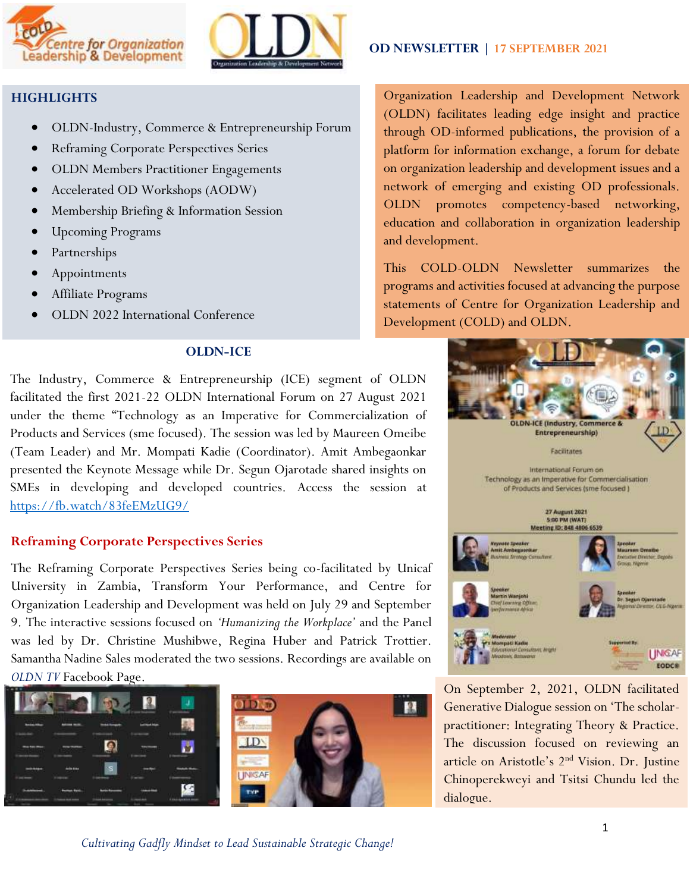



# **HIGHLIGHTS**

- OLDN-Industry, Commerce & Entrepreneurship Forum
- Reframing Corporate Perspectives Series
- OLDN Members Practitioner Engagements
- Accelerated OD Workshops (AODW)
- Membership Briefing & Information Session
- Upcoming Programs
- Partnerships
- Appointments
- Affiliate Programs
- OLDN 2022 International Conference

# **OLDN-ICE**

The Industry, Commerce & Entrepreneurship (ICE) segment of OLDN facilitated the first 2021-22 OLDN International Forum on 27 August 2021 under the theme "Technology as an Imperative for Commercialization of Products and Services (sme focused). The session was led by Maureen Omeibe (Team Leader) and Mr. Mompati Kadie (Coordinator). Amit Ambegaonkar presented the Keynote Message while Dr. Segun Ojarotade shared insights on SMEs in developing and developed countries. Access the session at <https://fb.watch/83feEMzUG9/>

### **Reframing Corporate Perspectives Series**

The Reframing Corporate Perspectives Series being co-facilitated by Unicaf University in Zambia, Transform Your Performance, and Centre for Organization Leadership and Development was held on July 29 and September 9. The interactive sessions focused on *'Humanizing the Workplace'* and the Panel was led by Dr. Christine Mushibwe, Regina Huber and Patrick Trottier. Samantha Nadine Sales moderated the two sessions. Recordings are available on *OLDN TV* Facebook Page.





 **OD NEWSLETTER | 17 SEPTEMBER 2021**

Organization Leadership and Development Network (OLDN) facilitates leading edge insight and practice through OD-informed publications, the provision of a platform for information exchange, a forum for debate on organization leadership and development issues and a network of emerging and existing OD professionals. OLDN promotes competency-based networking, education and collaboration in organization leadership and development.

This COLD-OLDN Newsletter summarizes the programs and activities focused at advancing the purpose statements of Centre for Organization Leadership and Development (COLD) and OLDN.



On September 2, 2021, OLDN facilitated Generative Dialogue session on 'The scholarpractitioner: Integrating Theory & Practice. The discussion focused on reviewing an article on Aristotle's 2nd Vision. Dr. Justine Chinoperekweyi and Tsitsi Chundu led the dialogue.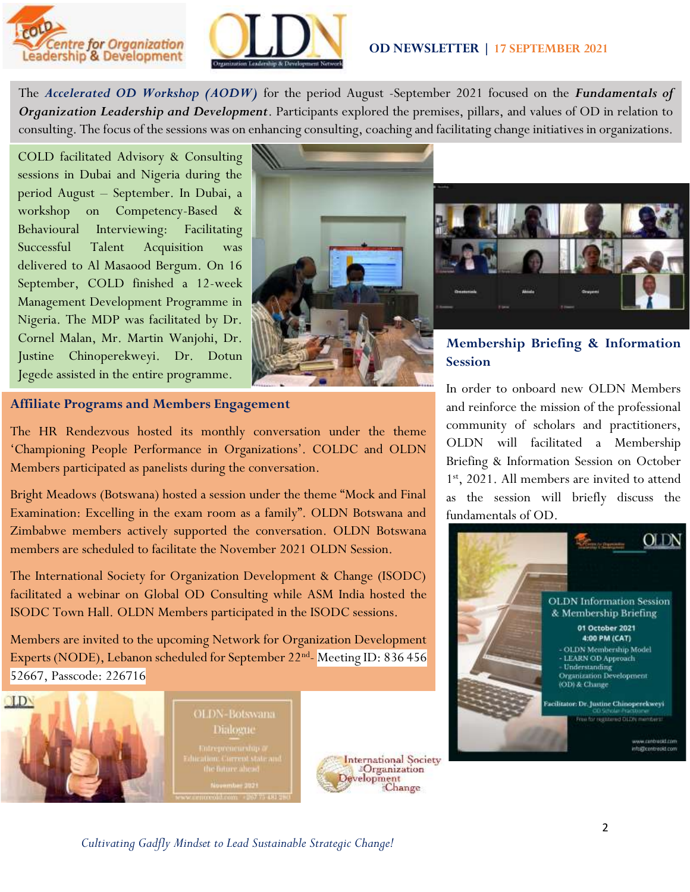



### **OD NEWSLETTER | 17 SEPTEMBER 2021**

The *Accelerated OD Workshop (AODW)* for the period August -September 2021 focused on the *Fundamentals of Organization Leadership and Development*. Participants explored the premises, pillars, and values of OD in relation to consulting. The focus of the sessions was on enhancing consulting, coaching and facilitating change initiatives in organizations.

COLD facilitated Advisory & Consulting sessions in Dubai and Nigeria during the period August – September. In Dubai, a workshop on Competency-Based & Behavioural Interviewing: Facilitating Successful Talent Acquisition was delivered to Al Masaood Bergum. On 16 September, COLD finished a 12-week Management Development Programme in Nigeria. The MDP was facilitated by Dr. Cornel Malan, Mr. Martin Wanjohi, Dr. Justine Chinoperekweyi. Dr. Dotun Jegede assisted in the entire programme.





**Membership Briefing & Information Session**

In order to onboard new OLDN Members and reinforce the mission of the professional community of scholars and practitioners, OLDN will facilitated a Membership Briefing & Information Session on October 1 st, 2021. All members are invited to attend as the session will briefly discuss the

fundamentals of OD.

# **Affiliate Programs and Members Engagement**

The HR Rendezvous hosted its monthly conversation under the theme 'Championing People Performance in Organizations'. COLDC and OLDN Members participated as panelists during the conversation.

Bright Meadows (Botswana) hosted a session under the theme "Mock and Final Examination: Excelling in the exam room as a family". OLDN Botswana and Zimbabwe members actively supported the conversation. OLDN Botswana members are scheduled to facilitate the November 2021 OLDN Session.

The International Society for Organization Development & Change (ISODC) facilitated a webinar on Global OD Consulting while ASM India hosted the ISODC Town Hall. OLDN Members participated in the ISODC sessions.

Members are invited to the upcoming Network for Organization Development Experts (NODE), Lebanon scheduled for September 22<sup>nd</sup>-Meeting ID: 836 456 52667, Passcode: 226716



OLDN-Botswana

Dialogue



*Cultivating Gadfly Mindset to Lead Sustainable Strategic Change!*

**OLDN** Information Session & Membership Briefing 01 October 2021 4:00 PM (CAT) - OLDN Membership Model<br>- LEARN OD Approach - Understanding<br>Organization Development

acilitator: Dr. Justine Chinoperekweyi

From the supplement CHDC, maintaining

www.canbraold.com info@centreold.com

(OD) & Change

**OLDN**